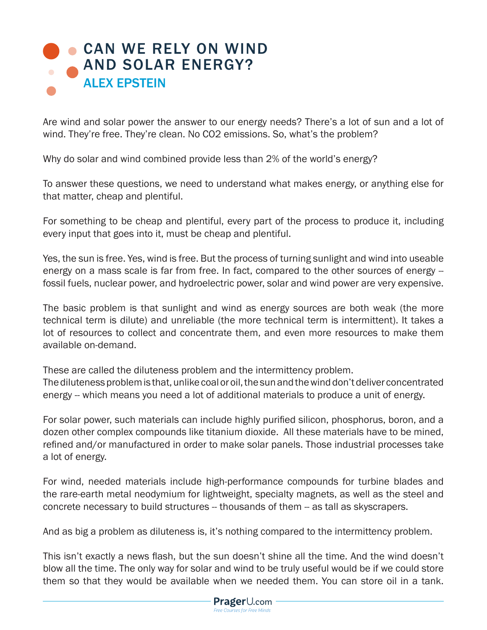## **[CAN WE RELY ON WIND](https://www.prageru.com/courses/environmental-science/can-we-rely-wind-and-solar-energy) AND SOLAR ENERGY?** ALEX EPSTEIN

Are wind and solar power the answer to our energy needs? There's a lot of sun and a lot of wind. They're free. They're clean. No CO2 emissions. So, what's the problem?

Why do solar and wind combined provide less than 2% of the world's energy?

To answer these questions, we need to understand what makes energy, or anything else for that matter, cheap and plentiful.

For something to be cheap and plentiful, every part of the process to produce it, including every input that goes into it, must be cheap and plentiful.

Yes, the sun is free. Yes, wind is free. But the process of turning sunlight and wind into useable energy on a mass scale is far from free. In fact, compared to the other sources of energy -fossil fuels, nuclear power, and hydroelectric power, solar and wind power are very expensive.

The basic problem is that sunlight and wind as energy sources are both weak (the more technical term is dilute) and unreliable (the more technical term is intermittent). It takes a lot of resources to collect and concentrate them, and even more resources to make them available on-demand.

These are called the diluteness problem and the intermittency problem. The diluteness problem is that, unlike coal or oil, the sun and the wind don't deliver concentrated energy -- which means you need a lot of additional materials to produce a unit of energy.

For solar power, such materials can include highly purified silicon, phosphorus, boron, and a dozen other complex compounds like titanium dioxide. All these materials have to be mined, refined and/or manufactured in order to make solar panels. Those industrial processes take a lot of energy.

For wind, needed materials include high-performance compounds for turbine blades and the rare-earth metal neodymium for lightweight, specialty magnets, as well as the steel and concrete necessary to build structures -- thousands of them -- as tall as skyscrapers.

And as big a problem as diluteness is, it's nothing compared to the intermittency problem.

This isn't exactly a news flash, but the sun doesn't shine all the time. And the wind doesn't blow all the time. The only way for solar and wind to be truly useful would be if we could store them so that they would be available when we needed them. You can store oil in a tank.